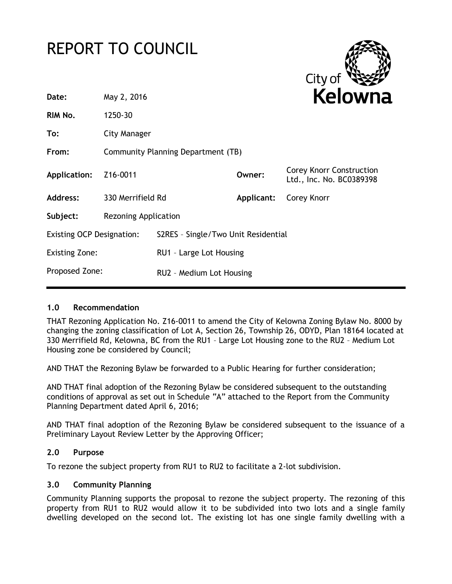# REPORT TO COUNCIL



| Date:                            | May 2, 2016                        |                                     | <b>Kelown</b> |                                                             |
|----------------------------------|------------------------------------|-------------------------------------|---------------|-------------------------------------------------------------|
| RIM No.                          | 1250-30                            |                                     |               |                                                             |
| To:                              | City Manager                       |                                     |               |                                                             |
| From:                            | Community Planning Department (TB) |                                     |               |                                                             |
| Application:                     | Z16-0011                           |                                     | Owner:        | <b>Corey Knorr Construction</b><br>Ltd., Inc. No. BC0389398 |
| <b>Address:</b>                  | 330 Merrifield Rd                  |                                     | Applicant:    | <b>Corey Knorr</b>                                          |
| Subject:                         | Rezoning Application               |                                     |               |                                                             |
| <b>Existing OCP Designation:</b> |                                    | S2RES - Single/Two Unit Residential |               |                                                             |
| <b>Existing Zone:</b>            |                                    | RU1 - Large Lot Housing             |               |                                                             |
| Proposed Zone:                   |                                    | RU2 - Medium Lot Housing            |               |                                                             |
|                                  |                                    |                                     |               |                                                             |

# **1.0 Recommendation**

THAT Rezoning Application No. Z16-0011 to amend the City of Kelowna Zoning Bylaw No. 8000 by changing the zoning classification of Lot A, Section 26, Township 26, ODYD, Plan 18164 located at 330 Merrifield Rd, Kelowna, BC from the RU1 – Large Lot Housing zone to the RU2 – Medium Lot Housing zone be considered by Council;

AND THAT the Rezoning Bylaw be forwarded to a Public Hearing for further consideration;

AND THAT final adoption of the Rezoning Bylaw be considered subsequent to the outstanding conditions of approval as set out in Schedule "A" attached to the Report from the Community Planning Department dated April 6, 2016;

AND THAT final adoption of the Rezoning Bylaw be considered subsequent to the issuance of a Preliminary Layout Review Letter by the Approving Officer;

# **2.0 Purpose**

To rezone the subject property from RU1 to RU2 to facilitate a 2-lot subdivision.

# **3.0 Community Planning**

Community Planning supports the proposal to rezone the subject property. The rezoning of this property from RU1 to RU2 would allow it to be subdivided into two lots and a single family dwelling developed on the second lot. The existing lot has one single family dwelling with a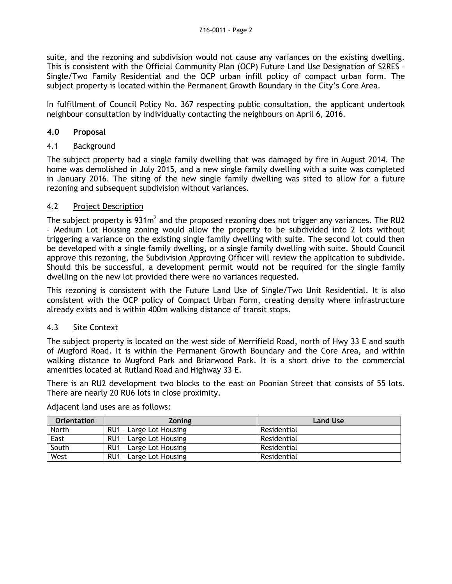suite, and the rezoning and subdivision would not cause any variances on the existing dwelling. This is consistent with the Official Community Plan (OCP) Future Land Use Designation of S2RES – Single/Two Family Residential and the OCP urban infill policy of compact urban form. The subject property is located within the Permanent Growth Boundary in the City's Core Area.

In fulfillment of Council Policy No. 367 respecting public consultation, the applicant undertook neighbour consultation by individually contacting the neighbours on April 6, 2016.

# **4.0 Proposal**

#### 4.1 Background

The subject property had a single family dwelling that was damaged by fire in August 2014. The home was demolished in July 2015, and a new single family dwelling with a suite was completed in January 2016. The siting of the new single family dwelling was sited to allow for a future rezoning and subsequent subdivision without variances.

#### 4.2 Project Description

The subject property is  $931m^2$  and the proposed rezoning does not trigger any variances. The RU2 – Medium Lot Housing zoning would allow the property to be subdivided into 2 lots without triggering a variance on the existing single family dwelling with suite. The second lot could then be developed with a single family dwelling, or a single family dwelling with suite. Should Council approve this rezoning, the Subdivision Approving Officer will review the application to subdivide. Should this be successful, a development permit would not be required for the single family dwelling on the new lot provided there were no variances requested.

This rezoning is consistent with the Future Land Use of Single/Two Unit Residential. It is also consistent with the OCP policy of Compact Urban Form, creating density where infrastructure already exists and is within 400m walking distance of transit stops.

# 4.3 Site Context

The subject property is located on the west side of Merrifield Road, north of Hwy 33 E and south of Mugford Road. It is within the Permanent Growth Boundary and the Core Area, and within walking distance to Mugford Park and Briarwood Park. It is a short drive to the commercial amenities located at Rutland Road and Highway 33 E.

There is an RU2 development two blocks to the east on Poonian Street that consists of 55 lots. There are nearly 20 RU6 lots in close proximity.

**Orientation Zoning Land Use** North | RU1 - Large Lot Housing | Residential East RU1 - Large Lot Housing Residential South RU1 - Large Lot Housing Residential West RU1 - Large Lot Housing Residential

Adjacent land uses are as follows: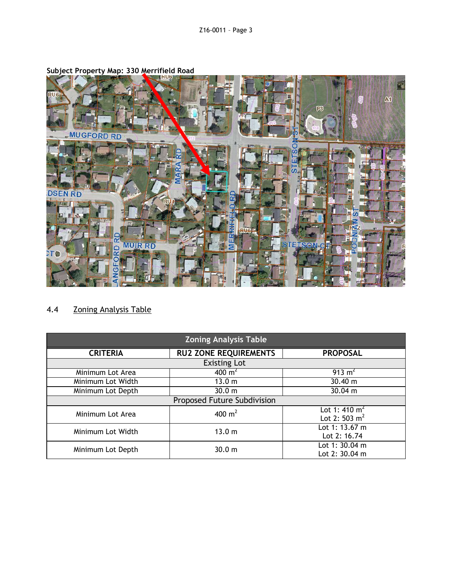

**Subject Property Map: 330 Merrifield Road**

# 4.4 Zoning Analysis Table

| <b>Zoning Analysis Table</b> |                              |                                      |  |  |  |
|------------------------------|------------------------------|--------------------------------------|--|--|--|
| <b>CRITERIA</b>              | <b>RU2 ZONE REQUIREMENTS</b> | <b>PROPOSAL</b>                      |  |  |  |
| <b>Existing Lot</b>          |                              |                                      |  |  |  |
| Minimum Lot Area             | 400 $m^2$                    | 913 $m2$                             |  |  |  |
| Minimum Lot Width            | 13.0 m                       | 30.40 m                              |  |  |  |
| Minimum Lot Depth            | 30.0 m                       | $30.04 \text{ m}$                    |  |  |  |
| Proposed Future Subdivision  |                              |                                      |  |  |  |
| Minimum Lot Area             | 400 $m^2$                    | Lot 1: 410 $m^2$<br>Lot 2: 503 $m^2$ |  |  |  |
| Minimum Lot Width            | 13.0 m                       | Lot 1: 13.67 m<br>Lot $2:16.74$      |  |  |  |
| Minimum Lot Depth            | 30.0 m                       | Lot 1: 30.04 m<br>Lot $2:30.04$ m    |  |  |  |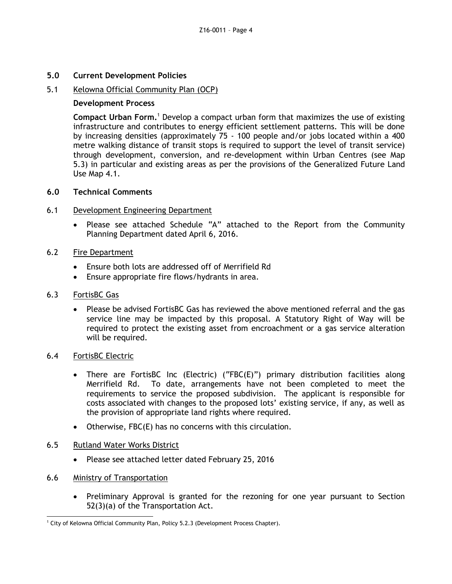# **5.0 Current Development Policies**

# 5.1 Kelowna Official Community Plan (OCP)

#### **Development Process**

**Compact Urban Form.**<sup>1</sup> Develop a compact urban form that maximizes the use of existing infrastructure and contributes to energy efficient settlement patterns. This will be done by increasing densities (approximately 75 - 100 people and/or jobs located within a 400 metre walking distance of transit stops is required to support the level of transit service) through development, conversion, and re-development within Urban Centres (see Map 5.3) in particular and existing areas as per the provisions of the Generalized Future Land Use Map 4.1.

#### **6.0 Technical Comments**

#### 6.1 Development Engineering Department

 Please see attached Schedule "A" attached to the Report from the Community Planning Department dated April 6, 2016.

# 6.2 Fire Department

- Ensure both lots are addressed off of Merrifield Rd
- Ensure appropriate fire flows/hydrants in area.

#### 6.3 FortisBC Gas

 Please be advised FortisBC Gas has reviewed the above mentioned referral and the gas service line may be impacted by this proposal. A Statutory Right of Way will be required to protect the existing asset from encroachment or a gas service alteration will be required.

#### 6.4 FortisBC Electric

- There are FortisBC Inc (Electric) ("FBC(E)") primary distribution facilities along Merrifield Rd. To date, arrangements have not been completed to meet the requirements to service the proposed subdivision. The applicant is responsible for costs associated with changes to the proposed lots' existing service, if any, as well as the provision of appropriate land rights where required.
- Otherwise, FBC(E) has no concerns with this circulation.

#### 6.5 Rutland Water Works District

• Please see attached letter dated February 25, 2016

#### 6.6 Ministry of Transportation

• Preliminary Approval is granted for the rezoning for one year pursuant to Section 52(3)(a) of the Transportation Act.

<sup>-</sup><sup>1</sup> City of Kelowna Official Community Plan, Policy 5.2.3 (Development Process Chapter).